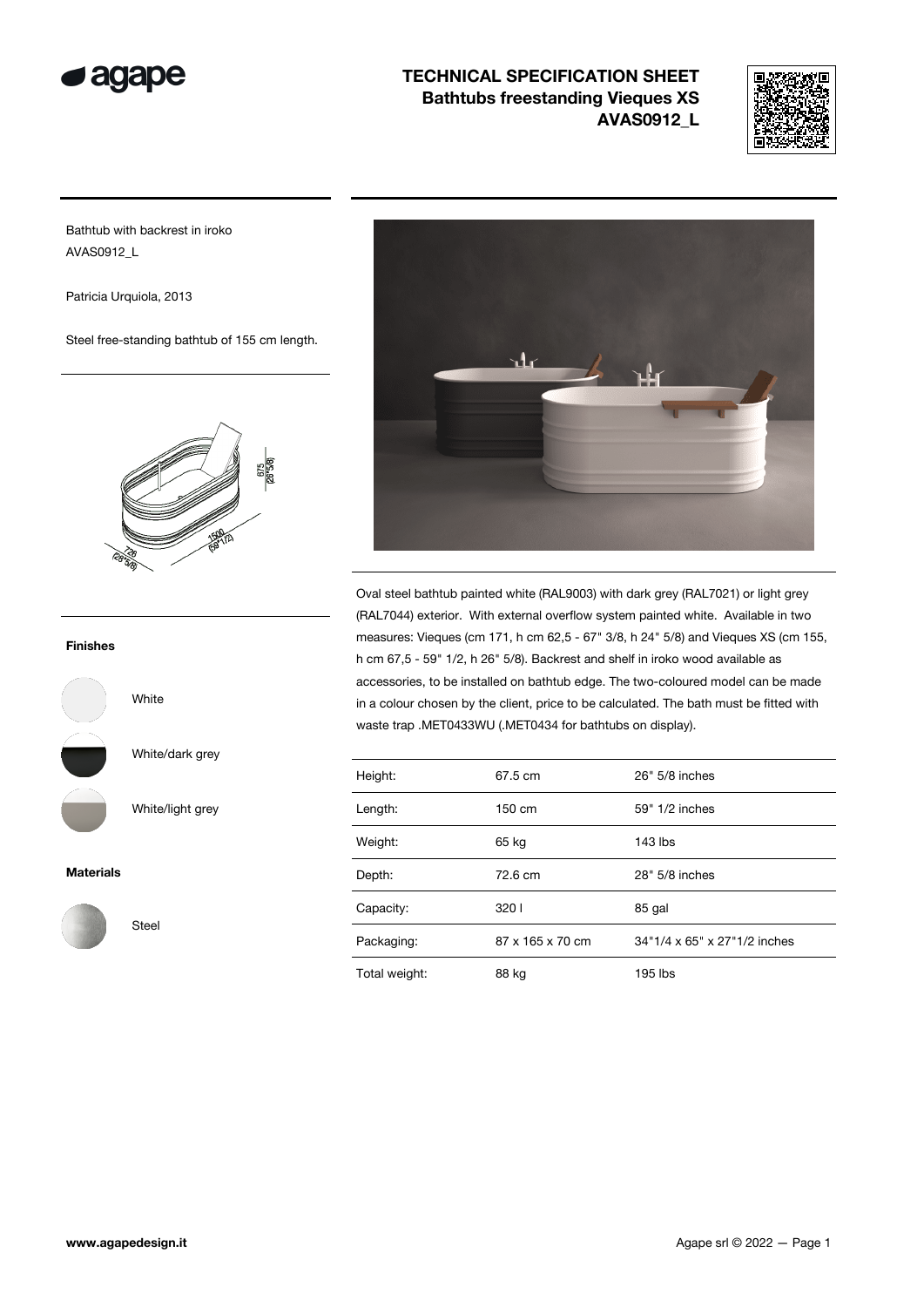



Bathtub with backrest in iroko AVAS0912\_L

Patricia Urquiola, 2013

Steel free-standing bathtub of 155 cm length.



### Finishes



White/dark grey

White

Steel

White/light grey

Materials





Oval steel bathtub painted white (RAL9003) with dark grey (RAL7021) or light grey (RAL7044) exterior. With external overflow system painted white. Available in two measures: Vieques (cm 171, h cm 62,5 - 67" 3/8, h 24" 5/8) and Vieques XS (cm 155, h cm 67,5 - 59" 1/2, h 26" 5/8). Backrest and shelf in iroko wood available as accessories, to be installed on bathtub edge. The two-coloured model can be made in a colour chosen by the client, price to be calculated. The bath must be fitted with waste trap .MET0433WU (.MET0434 for bathtubs on display).

| Height:       | 67.5 cm          | 26" 5/8 inches               |  |
|---------------|------------------|------------------------------|--|
| Length:       | 150 cm           | 59" 1/2 inches               |  |
| Weight:       | 65 kg            | $143$ lbs                    |  |
| Depth:        | 72.6 cm          | 28" 5/8 inches               |  |
| Capacity:     | 3201             | 85 gal                       |  |
| Packaging:    | 87 x 165 x 70 cm | 34"1/4 x 65" x 27"1/2 inches |  |
| Total weight: | 88 kg            | 195 lbs                      |  |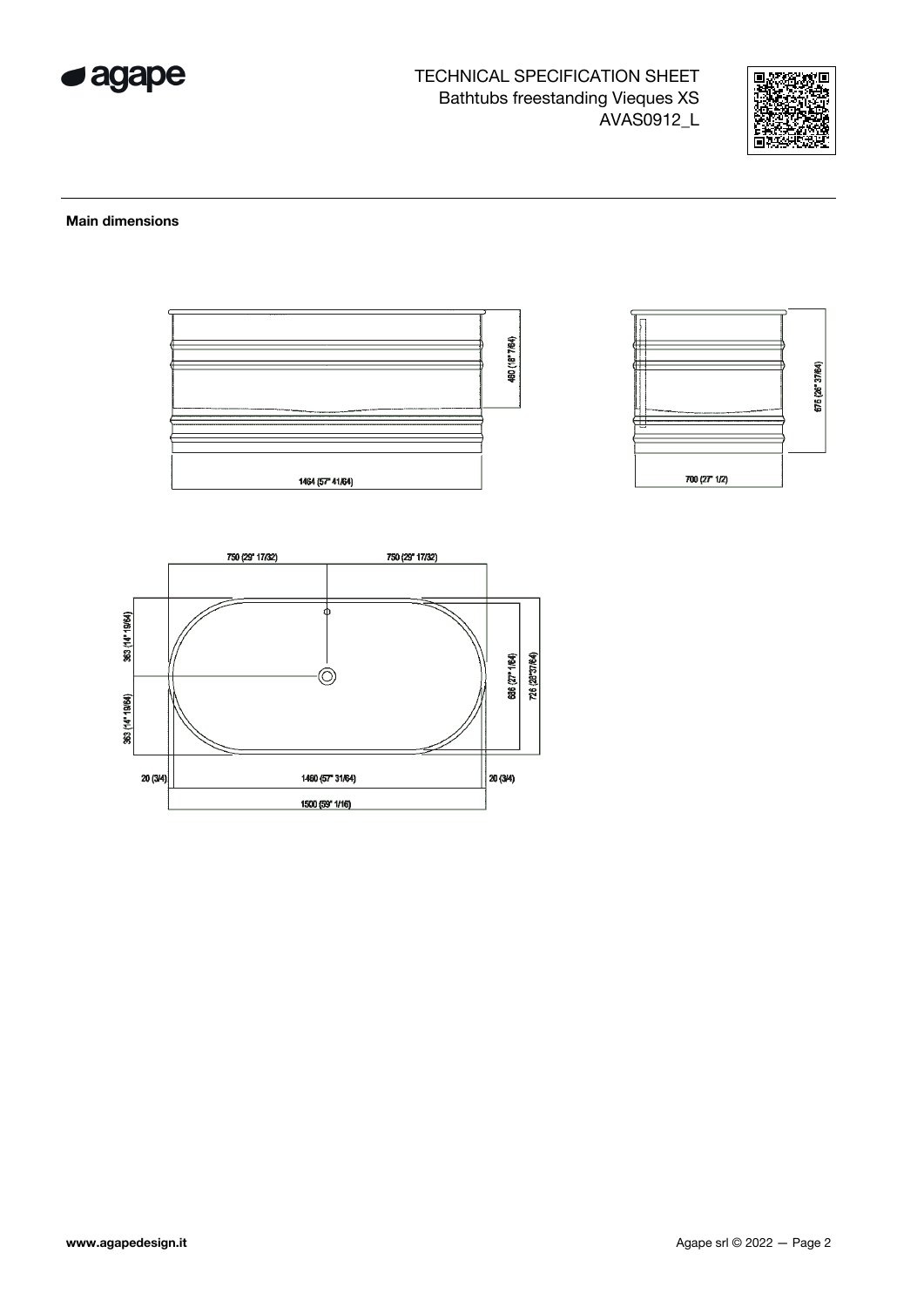



#### **Main dimensions**



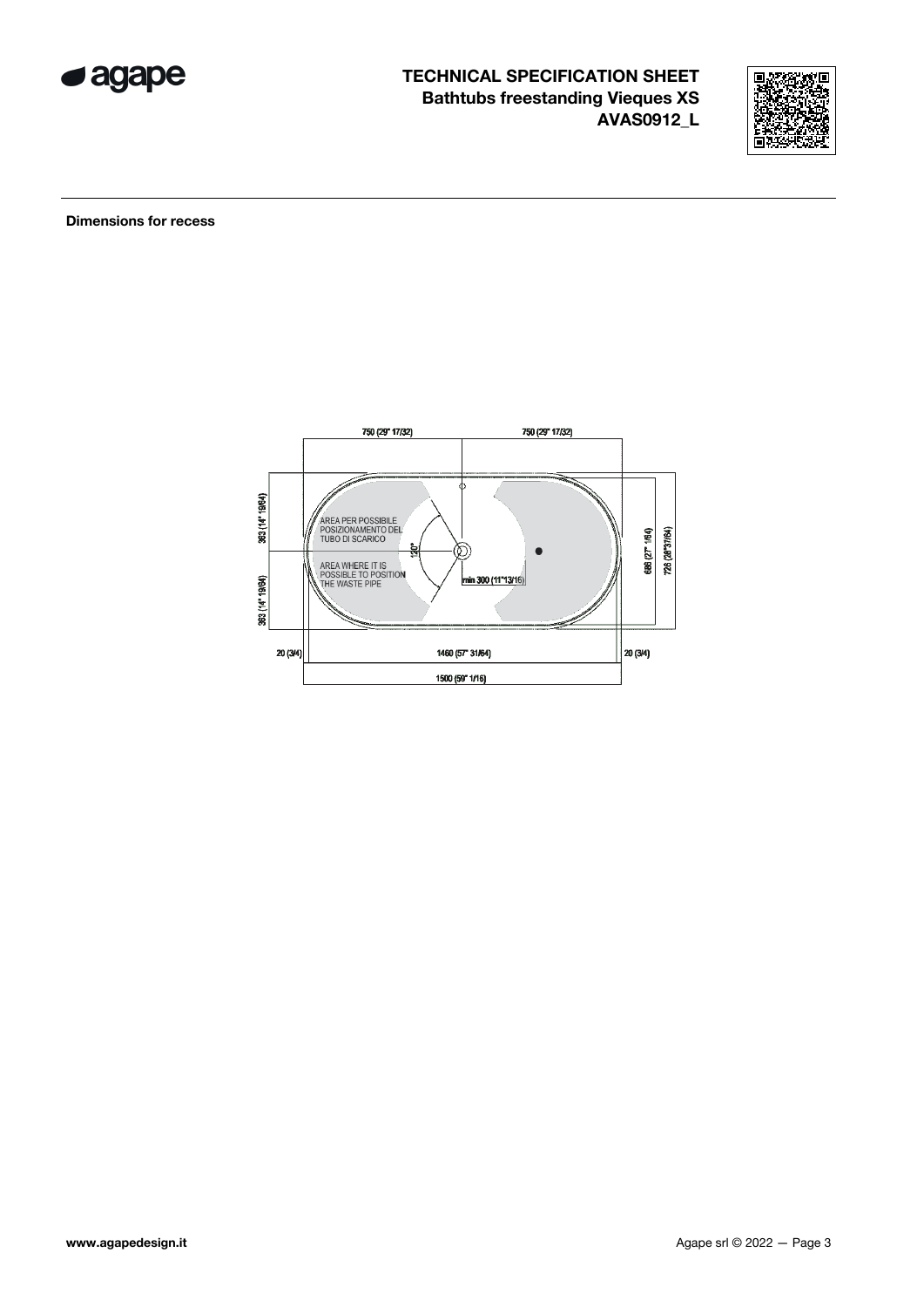



**Dimensions for recess** 

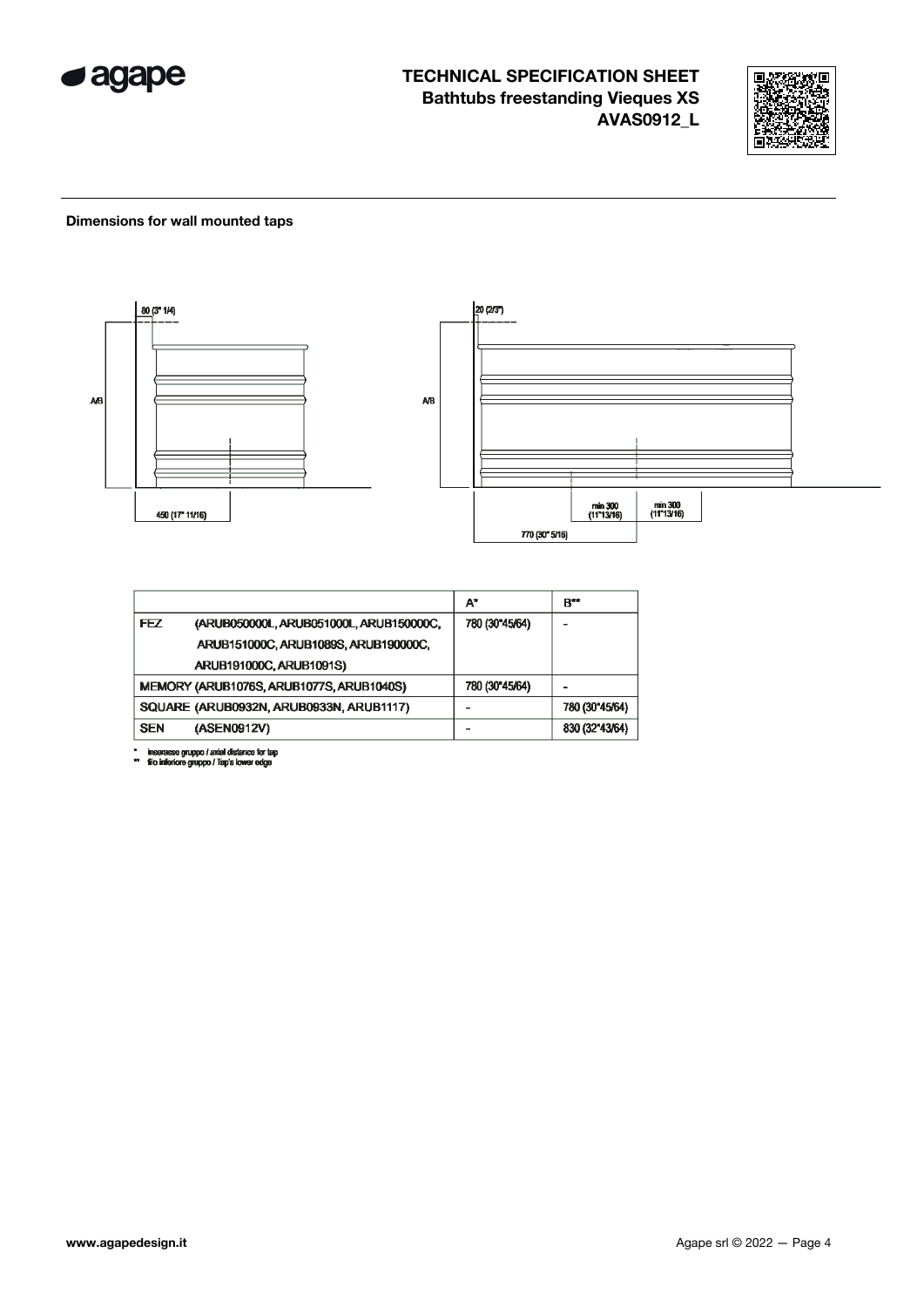



#### Dimensions for wall mounted taps



|            |                                          | A*             | B**            |
|------------|------------------------------------------|----------------|----------------|
| FEZ        | (ARUB050000L, ARUB051000L, ARUB150000C,  | 780 (30"45/64) |                |
|            | ARUB151000C, ARUB1089S, ARUB190000C,     |                |                |
|            | ARUB191000C, ARUB1091S)                  |                |                |
|            | MEMORY (ARUB1076S, ARUB1077S, ARUB1040S) | 780 (30"45/64) |                |
|            | SQUARE (ARUB0932N, ARUB0933N, ARUB1117)  |                | 780 (30"45/64) |
| <b>SEN</b> | (ASEN0912V)                              |                | 830 (32"43/64) |

\* inserasse gruppo / axial distance for tap<br>\*\* filo inferiore gruppo / Tap's lower edge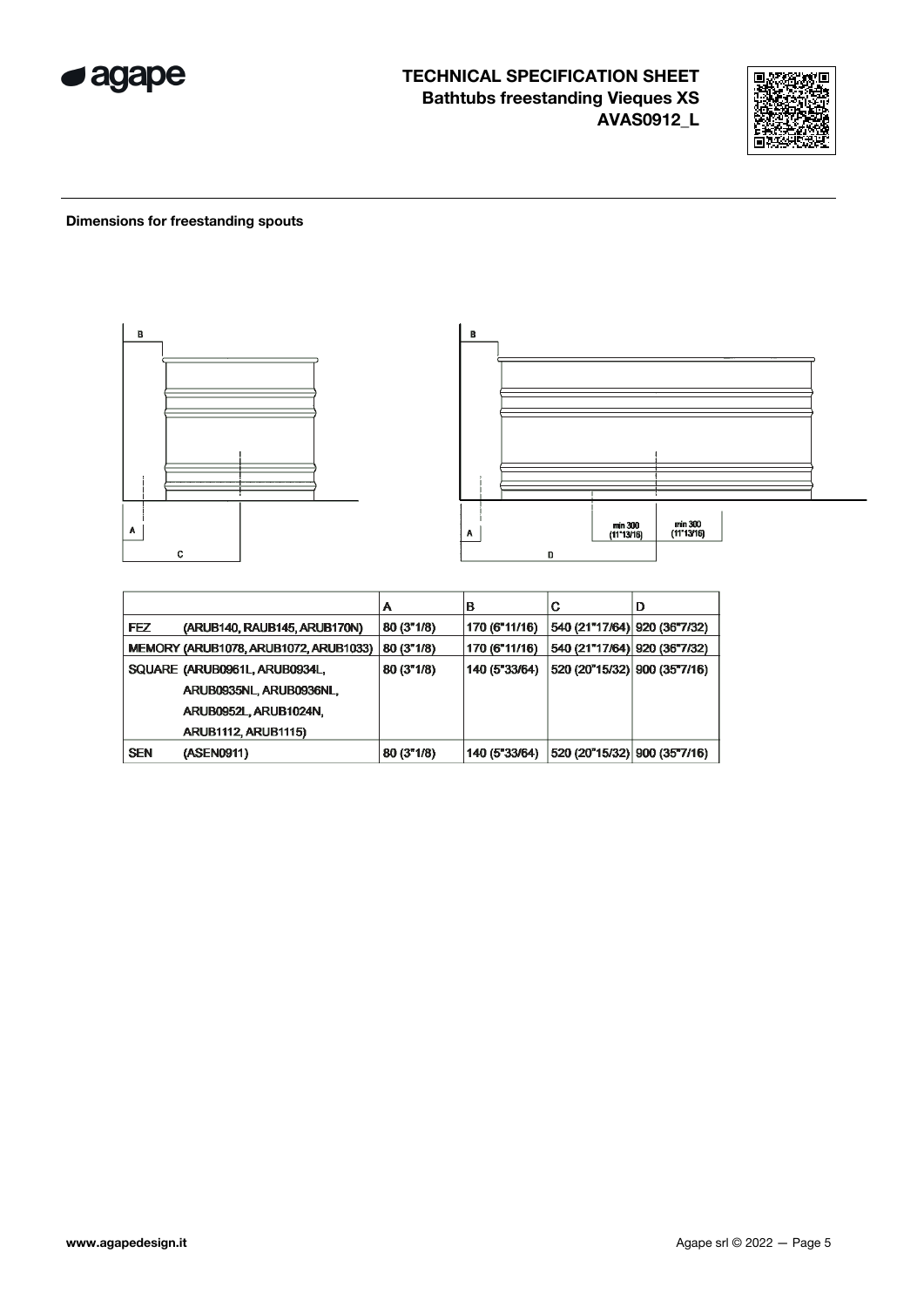



### **Dimensions for freestanding spouts**



|            |                                       | А          | в             | С                             | D |
|------------|---------------------------------------|------------|---------------|-------------------------------|---|
| <b>FEZ</b> | (ARUB140, RAUB145, ARUB170N)          | 80 (3"1/8) | 170 (6"11/16) | 540 (21"17/64) 920 (36"7/32)  |   |
|            | MEMORY (ARUB1078, ARUB1072, ARUB1033) | 80 (3"1/8) | 170 (6"11/16) | 540 (21"17/64)  920 (36"7/32) |   |
|            | SQUARE (ARUB0961L, ARUB0934L,         | 80 (3"1/8) | 140 (5"33/64) | 520 (20"15/32) 900 (35"7/16)  |   |
|            | ARUB0935NL, ARUB0936NL,               |            |               |                               |   |
|            | ARUB0952L, ARUB1024N,                 |            |               |                               |   |
|            | <b>ARUB1112, ARUB1115)</b>            |            |               |                               |   |
| <b>SEN</b> | (ASEN0911)                            | 80(3"1/8)  | 140 (5"33/64) | 520 (20"15/32) 900 (35"7/16)  |   |